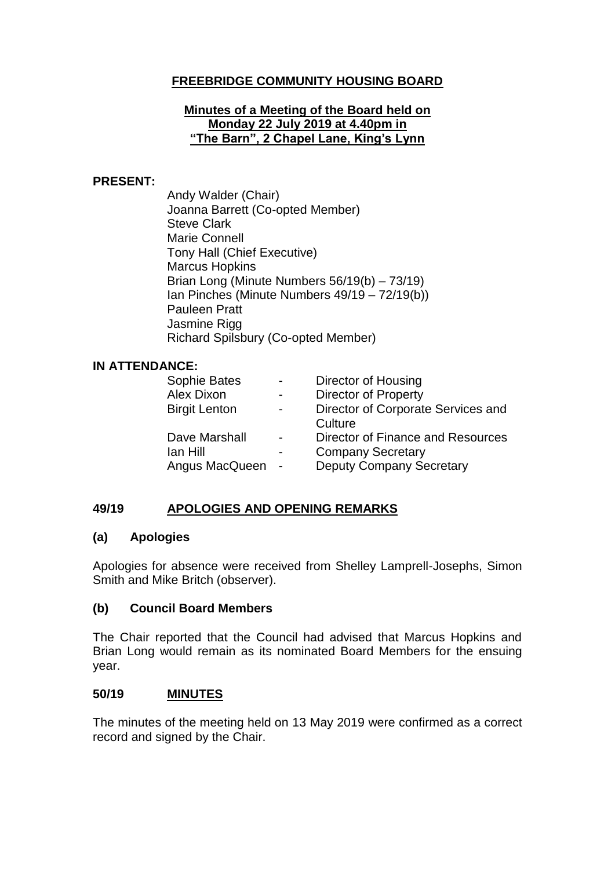# **FREEBRIDGE COMMUNITY HOUSING BOARD**

### **Minutes of a Meeting of the Board held on Monday 22 July 2019 at 4.40pm in "The Barn", 2 Chapel Lane, King's Lynn**

### **PRESENT:**

Andy Walder (Chair) Joanna Barrett (Co-opted Member) Steve Clark Marie Connell Tony Hall (Chief Executive) Marcus Hopkins Brian Long (Minute Numbers 56/19(b) – 73/19) Ian Pinches (Minute Numbers 49/19 – 72/19(b)) Pauleen Pratt Jasmine Rigg Richard Spilsbury (Co-opted Member)

#### **IN ATTENDANCE:**

| $\overline{\phantom{0}}$ | Director of Housing                |
|--------------------------|------------------------------------|
|                          | <b>Director of Property</b>        |
| -                        | Director of Corporate Services and |
|                          | Culture                            |
| $\blacksquare$           | Director of Finance and Resources  |
|                          | <b>Company Secretary</b>           |
|                          | <b>Deputy Company Secretary</b>    |
|                          |                                    |

### **49/19 APOLOGIES AND OPENING REMARKS**

#### **(a) Apologies**

Apologies for absence were received from Shelley Lamprell-Josephs, Simon Smith and Mike Britch (observer).

### **(b) Council Board Members**

The Chair reported that the Council had advised that Marcus Hopkins and Brian Long would remain as its nominated Board Members for the ensuing year.

#### **50/19 MINUTES**

The minutes of the meeting held on 13 May 2019 were confirmed as a correct record and signed by the Chair.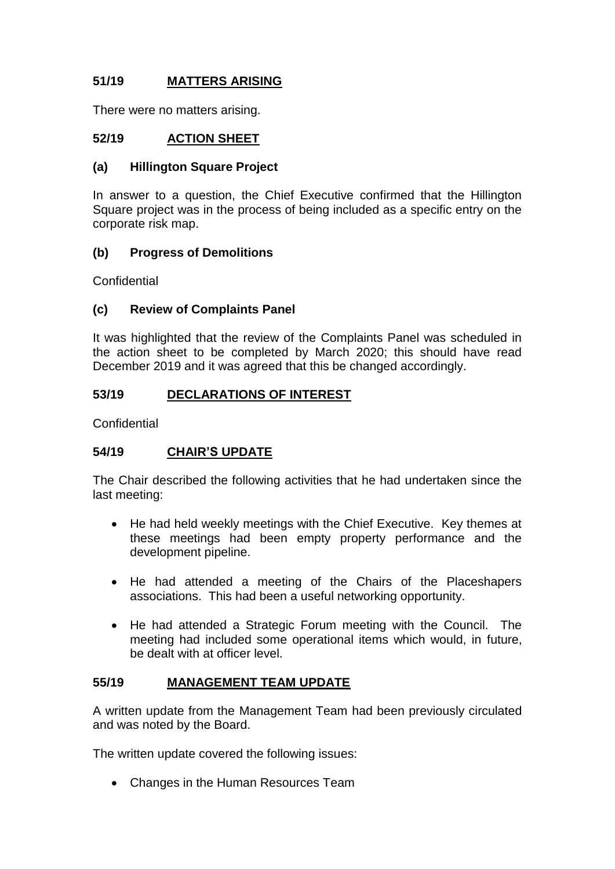# **51/19 MATTERS ARISING**

There were no matters arising.

### **52/19 ACTION SHEET**

### **(a) Hillington Square Project**

In answer to a question, the Chief Executive confirmed that the Hillington Square project was in the process of being included as a specific entry on the corporate risk map.

### **(b) Progress of Demolitions**

**Confidential** 

### **(c) Review of Complaints Panel**

It was highlighted that the review of the Complaints Panel was scheduled in the action sheet to be completed by March 2020; this should have read December 2019 and it was agreed that this be changed accordingly.

### **53/19 DECLARATIONS OF INTEREST**

**Confidential** 

### **54/19 CHAIR'S UPDATE**

The Chair described the following activities that he had undertaken since the last meeting:

- He had held weekly meetings with the Chief Executive. Key themes at these meetings had been empty property performance and the development pipeline.
- He had attended a meeting of the Chairs of the Placeshapers associations. This had been a useful networking opportunity.
- He had attended a Strategic Forum meeting with the Council. The meeting had included some operational items which would, in future, be dealt with at officer level.

### **55/19 MANAGEMENT TEAM UPDATE**

A written update from the Management Team had been previously circulated and was noted by the Board.

The written update covered the following issues:

• Changes in the Human Resources Team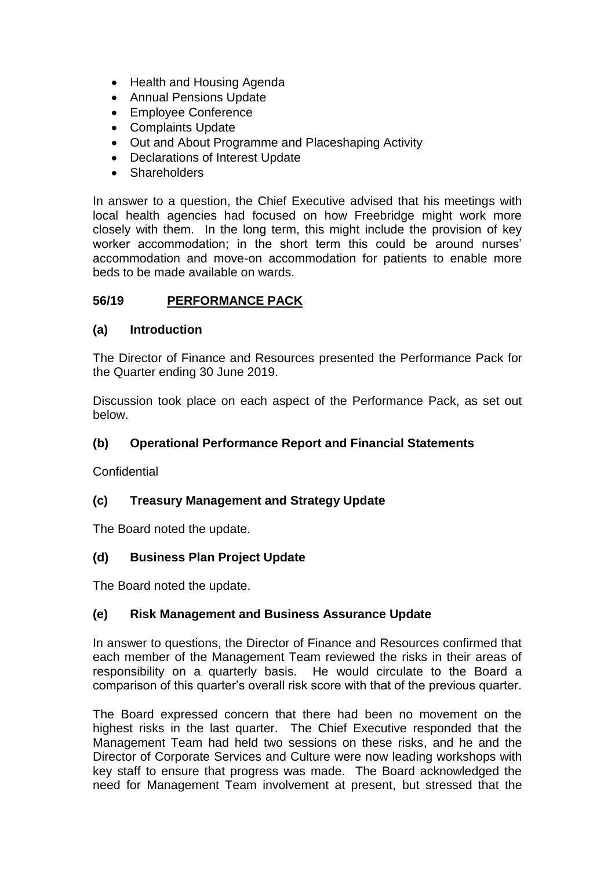- Health and Housing Agenda
- Annual Pensions Update
- Employee Conference
- Complaints Update
- Out and About Programme and Placeshaping Activity
- Declarations of Interest Update
- Shareholders

In answer to a question, the Chief Executive advised that his meetings with local health agencies had focused on how Freebridge might work more closely with them. In the long term, this might include the provision of key worker accommodation; in the short term this could be around nurses' accommodation and move-on accommodation for patients to enable more beds to be made available on wards.

### **56/19 PERFORMANCE PACK**

### **(a) Introduction**

The Director of Finance and Resources presented the Performance Pack for the Quarter ending 30 June 2019.

Discussion took place on each aspect of the Performance Pack, as set out below.

### **(b) Operational Performance Report and Financial Statements**

**Confidential** 

### **(c) Treasury Management and Strategy Update**

The Board noted the update.

### **(d) Business Plan Project Update**

The Board noted the update.

### **(e) Risk Management and Business Assurance Update**

In answer to questions, the Director of Finance and Resources confirmed that each member of the Management Team reviewed the risks in their areas of responsibility on a quarterly basis. He would circulate to the Board a comparison of this quarter's overall risk score with that of the previous quarter.

The Board expressed concern that there had been no movement on the highest risks in the last quarter. The Chief Executive responded that the Management Team had held two sessions on these risks, and he and the Director of Corporate Services and Culture were now leading workshops with key staff to ensure that progress was made. The Board acknowledged the need for Management Team involvement at present, but stressed that the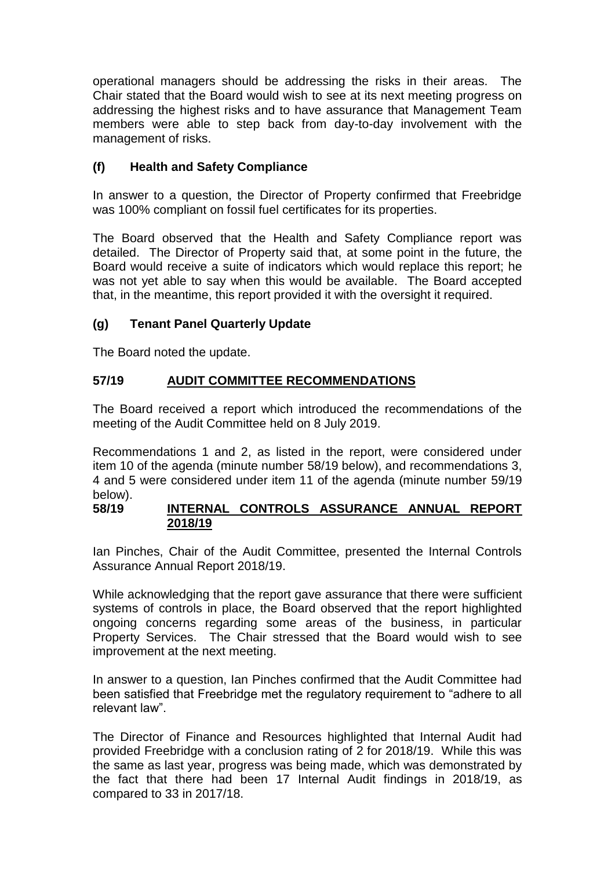operational managers should be addressing the risks in their areas. The Chair stated that the Board would wish to see at its next meeting progress on addressing the highest risks and to have assurance that Management Team members were able to step back from day-to-day involvement with the management of risks.

# **(f) Health and Safety Compliance**

In answer to a question, the Director of Property confirmed that Freebridge was 100% compliant on fossil fuel certificates for its properties.

The Board observed that the Health and Safety Compliance report was detailed. The Director of Property said that, at some point in the future, the Board would receive a suite of indicators which would replace this report; he was not yet able to say when this would be available. The Board accepted that, in the meantime, this report provided it with the oversight it required.

## **(g) Tenant Panel Quarterly Update**

The Board noted the update.

# **57/19 AUDIT COMMITTEE RECOMMENDATIONS**

The Board received a report which introduced the recommendations of the meeting of the Audit Committee held on 8 July 2019.

Recommendations 1 and 2, as listed in the report, were considered under item 10 of the agenda (minute number 58/19 below), and recommendations 3, 4 and 5 were considered under item 11 of the agenda (minute number 59/19 below).

### **58/19 INTERNAL CONTROLS ASSURANCE ANNUAL REPORT 2018/19**

Ian Pinches, Chair of the Audit Committee, presented the Internal Controls Assurance Annual Report 2018/19.

While acknowledging that the report gave assurance that there were sufficient systems of controls in place, the Board observed that the report highlighted ongoing concerns regarding some areas of the business, in particular Property Services. The Chair stressed that the Board would wish to see improvement at the next meeting.

In answer to a question, Ian Pinches confirmed that the Audit Committee had been satisfied that Freebridge met the regulatory requirement to "adhere to all relevant law".

The Director of Finance and Resources highlighted that Internal Audit had provided Freebridge with a conclusion rating of 2 for 2018/19. While this was the same as last year, progress was being made, which was demonstrated by the fact that there had been 17 Internal Audit findings in 2018/19, as compared to 33 in 2017/18.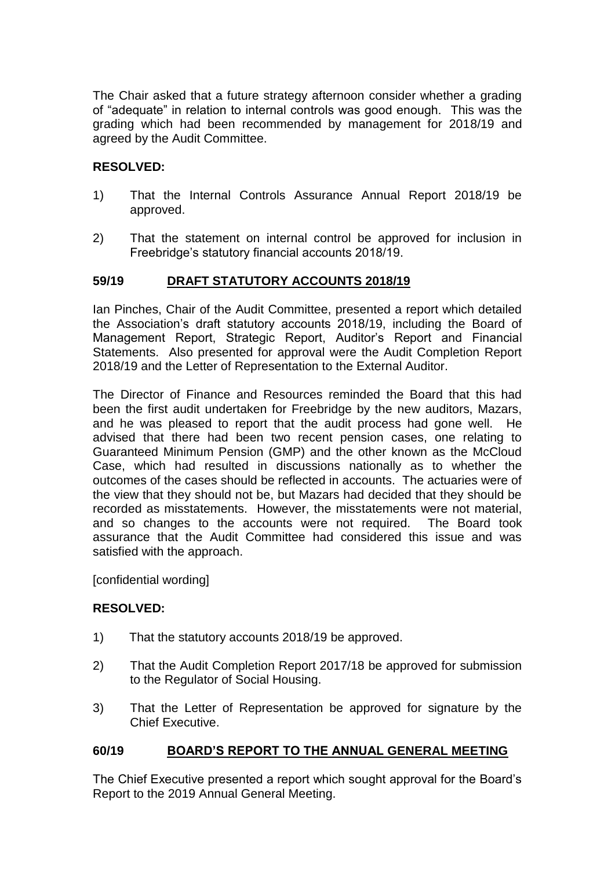The Chair asked that a future strategy afternoon consider whether a grading of "adequate" in relation to internal controls was good enough. This was the grading which had been recommended by management for 2018/19 and agreed by the Audit Committee.

### **RESOLVED:**

- 1) That the Internal Controls Assurance Annual Report 2018/19 be approved.
- 2) That the statement on internal control be approved for inclusion in Freebridge's statutory financial accounts 2018/19.

### **59/19 DRAFT STATUTORY ACCOUNTS 2018/19**

Ian Pinches, Chair of the Audit Committee, presented a report which detailed the Association's draft statutory accounts 2018/19, including the Board of Management Report, Strategic Report, Auditor's Report and Financial Statements. Also presented for approval were the Audit Completion Report 2018/19 and the Letter of Representation to the External Auditor.

The Director of Finance and Resources reminded the Board that this had been the first audit undertaken for Freebridge by the new auditors, Mazars, and he was pleased to report that the audit process had gone well. He advised that there had been two recent pension cases, one relating to Guaranteed Minimum Pension (GMP) and the other known as the McCloud Case, which had resulted in discussions nationally as to whether the outcomes of the cases should be reflected in accounts. The actuaries were of the view that they should not be, but Mazars had decided that they should be recorded as misstatements. However, the misstatements were not material, and so changes to the accounts were not required. The Board took assurance that the Audit Committee had considered this issue and was satisfied with the approach.

[confidential wording]

### **RESOLVED:**

- 1) That the statutory accounts 2018/19 be approved.
- 2) That the Audit Completion Report 2017/18 be approved for submission to the Regulator of Social Housing.
- 3) That the Letter of Representation be approved for signature by the Chief Executive.

## **60/19 BOARD'S REPORT TO THE ANNUAL GENERAL MEETING**

The Chief Executive presented a report which sought approval for the Board's Report to the 2019 Annual General Meeting.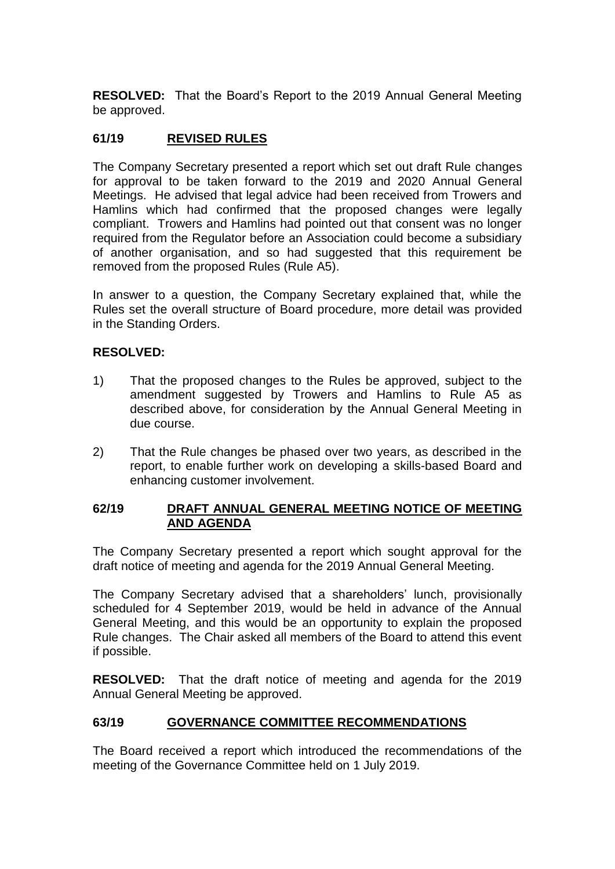**RESOLVED:** That the Board's Report to the 2019 Annual General Meeting be approved.

### **61/19 REVISED RULES**

The Company Secretary presented a report which set out draft Rule changes for approval to be taken forward to the 2019 and 2020 Annual General Meetings. He advised that legal advice had been received from Trowers and Hamlins which had confirmed that the proposed changes were legally compliant. Trowers and Hamlins had pointed out that consent was no longer required from the Regulator before an Association could become a subsidiary of another organisation, and so had suggested that this requirement be removed from the proposed Rules (Rule A5).

In answer to a question, the Company Secretary explained that, while the Rules set the overall structure of Board procedure, more detail was provided in the Standing Orders.

#### **RESOLVED:**

- 1) That the proposed changes to the Rules be approved, subject to the amendment suggested by Trowers and Hamlins to Rule A5 as described above, for consideration by the Annual General Meeting in due course.
- 2) That the Rule changes be phased over two years, as described in the report, to enable further work on developing a skills-based Board and enhancing customer involvement.

#### **62/19 DRAFT ANNUAL GENERAL MEETING NOTICE OF MEETING AND AGENDA**

The Company Secretary presented a report which sought approval for the draft notice of meeting and agenda for the 2019 Annual General Meeting.

The Company Secretary advised that a shareholders' lunch, provisionally scheduled for 4 September 2019, would be held in advance of the Annual General Meeting, and this would be an opportunity to explain the proposed Rule changes. The Chair asked all members of the Board to attend this event if possible.

**RESOLVED:** That the draft notice of meeting and agenda for the 2019 Annual General Meeting be approved.

### **63/19 GOVERNANCE COMMITTEE RECOMMENDATIONS**

The Board received a report which introduced the recommendations of the meeting of the Governance Committee held on 1 July 2019.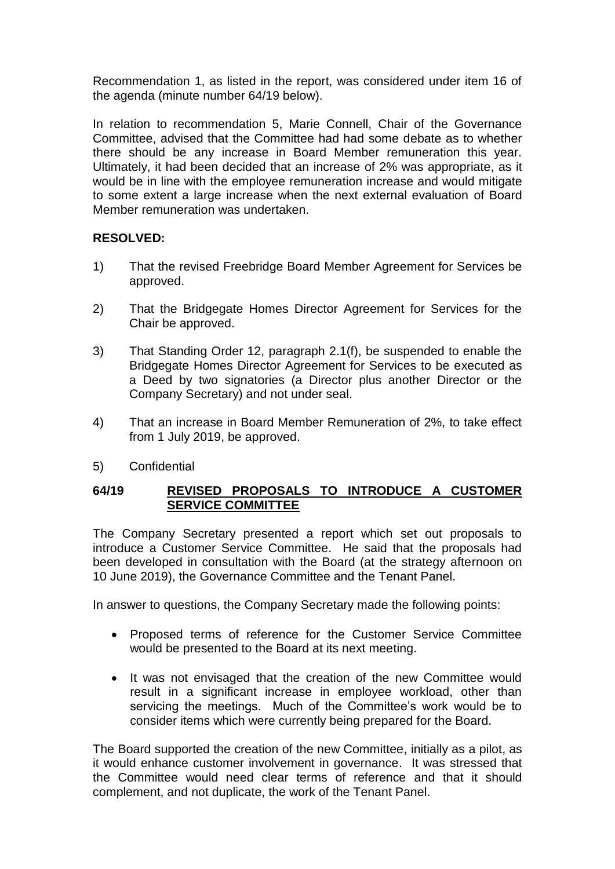Recommendation 1, as listed in the report, was considered under item 16 of the agenda (minute number 64/19 below).

In relation to recommendation 5, Marie Connell, Chair of the Governance Committee, advised that the Committee had had some debate as to whether there should be any increase in Board Member remuneration this year. Ultimately, it had been decided that an increase of 2% was appropriate, as it would be in line with the employee remuneration increase and would mitigate to some extent a large increase when the next external evaluation of Board Member remuneration was undertaken.

### **RESOLVED:**

- 1) That the revised Freebridge Board Member Agreement for Services be approved.
- 2) That the Bridgegate Homes Director Agreement for Services for the Chair be approved.
- 3) That Standing Order 12, paragraph 2.1(f), be suspended to enable the Bridgegate Homes Director Agreement for Services to be executed as a Deed by two signatories (a Director plus another Director or the Company Secretary) and not under seal.
- 4) That an increase in Board Member Remuneration of 2%, to take effect from 1 July 2019, be approved.
- 5) Confidential

### **64/19 REVISED PROPOSALS TO INTRODUCE A CUSTOMER SERVICE COMMITTEE**

The Company Secretary presented a report which set out proposals to introduce a Customer Service Committee. He said that the proposals had been developed in consultation with the Board (at the strategy afternoon on 10 June 2019), the Governance Committee and the Tenant Panel.

In answer to questions, the Company Secretary made the following points:

- Proposed terms of reference for the Customer Service Committee would be presented to the Board at its next meeting.
- It was not envisaged that the creation of the new Committee would result in a significant increase in employee workload, other than servicing the meetings. Much of the Committee's work would be to consider items which were currently being prepared for the Board.

The Board supported the creation of the new Committee, initially as a pilot, as it would enhance customer involvement in governance. It was stressed that the Committee would need clear terms of reference and that it should complement, and not duplicate, the work of the Tenant Panel.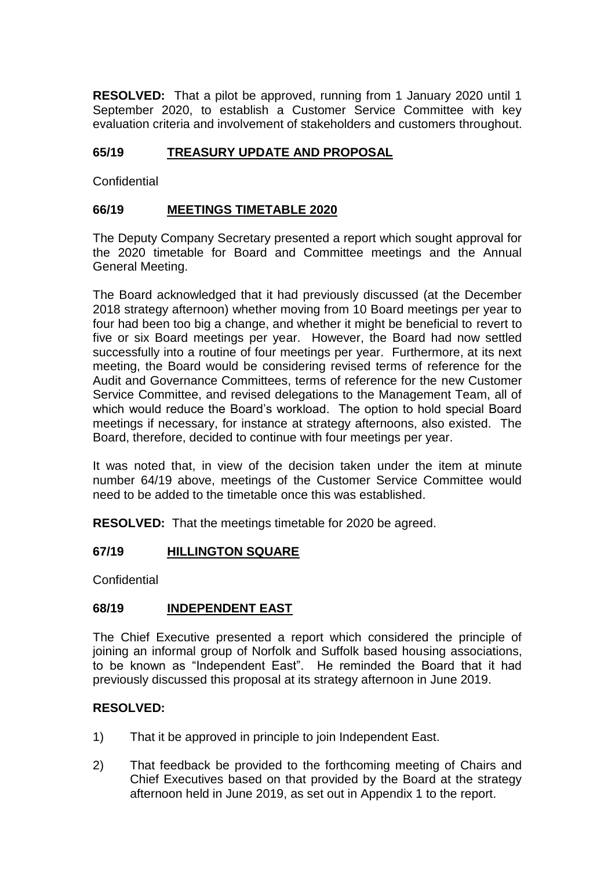**RESOLVED:** That a pilot be approved, running from 1 January 2020 until 1 September 2020, to establish a Customer Service Committee with key evaluation criteria and involvement of stakeholders and customers throughout.

# **65/19 TREASURY UPDATE AND PROPOSAL**

**Confidential** 

## **66/19 MEETINGS TIMETABLE 2020**

The Deputy Company Secretary presented a report which sought approval for the 2020 timetable for Board and Committee meetings and the Annual General Meeting.

The Board acknowledged that it had previously discussed (at the December 2018 strategy afternoon) whether moving from 10 Board meetings per year to four had been too big a change, and whether it might be beneficial to revert to five or six Board meetings per year. However, the Board had now settled successfully into a routine of four meetings per year. Furthermore, at its next meeting, the Board would be considering revised terms of reference for the Audit and Governance Committees, terms of reference for the new Customer Service Committee, and revised delegations to the Management Team, all of which would reduce the Board's workload. The option to hold special Board meetings if necessary, for instance at strategy afternoons, also existed. The Board, therefore, decided to continue with four meetings per year.

It was noted that, in view of the decision taken under the item at minute number 64/19 above, meetings of the Customer Service Committee would need to be added to the timetable once this was established.

**RESOLVED:** That the meetings timetable for 2020 be agreed.

## **67/19 HILLINGTON SQUARE**

**Confidential** 

## **68/19 INDEPENDENT EAST**

The Chief Executive presented a report which considered the principle of joining an informal group of Norfolk and Suffolk based housing associations, to be known as "Independent East". He reminded the Board that it had previously discussed this proposal at its strategy afternoon in June 2019.

### **RESOLVED:**

- 1) That it be approved in principle to join Independent East.
- 2) That feedback be provided to the forthcoming meeting of Chairs and Chief Executives based on that provided by the Board at the strategy afternoon held in June 2019, as set out in Appendix 1 to the report.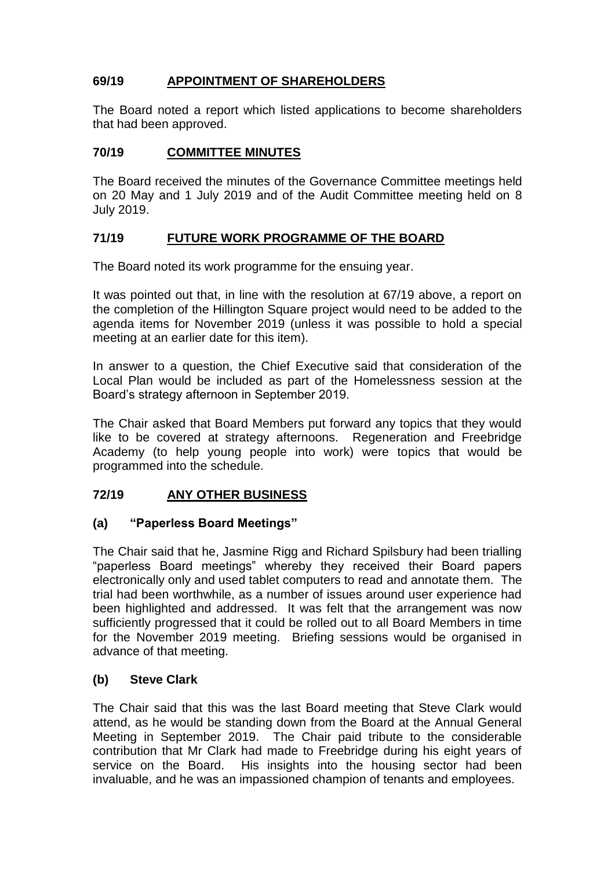# **69/19 APPOINTMENT OF SHAREHOLDERS**

The Board noted a report which listed applications to become shareholders that had been approved.

### **70/19 COMMITTEE MINUTES**

The Board received the minutes of the Governance Committee meetings held on 20 May and 1 July 2019 and of the Audit Committee meeting held on 8 July 2019.

### **71/19 FUTURE WORK PROGRAMME OF THE BOARD**

The Board noted its work programme for the ensuing year.

It was pointed out that, in line with the resolution at 67/19 above, a report on the completion of the Hillington Square project would need to be added to the agenda items for November 2019 (unless it was possible to hold a special meeting at an earlier date for this item).

In answer to a question, the Chief Executive said that consideration of the Local Plan would be included as part of the Homelessness session at the Board's strategy afternoon in September 2019.

The Chair asked that Board Members put forward any topics that they would like to be covered at strategy afternoons. Regeneration and Freebridge Academy (to help young people into work) were topics that would be programmed into the schedule.

## **72/19 ANY OTHER BUSINESS**

### **(a) "Paperless Board Meetings"**

The Chair said that he, Jasmine Rigg and Richard Spilsbury had been trialling "paperless Board meetings" whereby they received their Board papers electronically only and used tablet computers to read and annotate them. The trial had been worthwhile, as a number of issues around user experience had been highlighted and addressed. It was felt that the arrangement was now sufficiently progressed that it could be rolled out to all Board Members in time for the November 2019 meeting. Briefing sessions would be organised in advance of that meeting.

### **(b) Steve Clark**

The Chair said that this was the last Board meeting that Steve Clark would attend, as he would be standing down from the Board at the Annual General Meeting in September 2019. The Chair paid tribute to the considerable contribution that Mr Clark had made to Freebridge during his eight years of service on the Board. His insights into the housing sector had been invaluable, and he was an impassioned champion of tenants and employees.